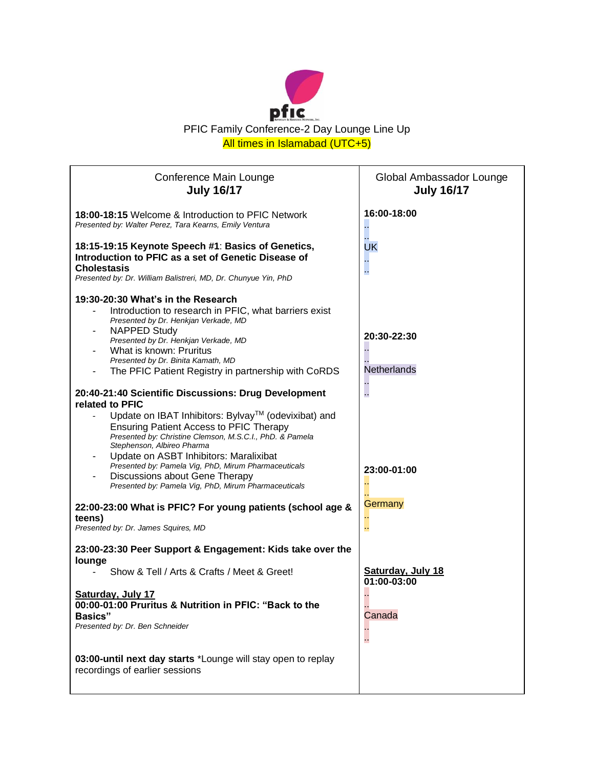

| Conference Main Lounge<br><b>July 16/17</b>                                                                                                                                                                                                                                                                                                                                                                                                                            | Global Ambassador Lounge<br><b>July 16/17</b> |
|------------------------------------------------------------------------------------------------------------------------------------------------------------------------------------------------------------------------------------------------------------------------------------------------------------------------------------------------------------------------------------------------------------------------------------------------------------------------|-----------------------------------------------|
| 18:00-18:15 Welcome & Introduction to PFIC Network<br>Presented by: Walter Perez, Tara Kearns, Emily Ventura                                                                                                                                                                                                                                                                                                                                                           | 16:00-18:00<br>à.                             |
| 18:15-19:15 Keynote Speech #1: Basics of Genetics,<br>Introduction to PFIC as a set of Genetic Disease of<br><b>Cholestasis</b><br>Presented by: Dr. William Balistreri, MD, Dr. Chunyue Yin, PhD                                                                                                                                                                                                                                                                      | UK<br>å.                                      |
| 19:30-20:30 What's in the Research<br>Introduction to research in PFIC, what barriers exist<br>Presented by Dr. Henkjan Verkade, MD<br><b>NAPPED Study</b><br>Presented by Dr. Henkjan Verkade, MD<br>What is known: Pruritus                                                                                                                                                                                                                                          | 20:30-22:30                                   |
| Presented by Dr. Binita Kamath, MD<br>The PFIC Patient Registry in partnership with CoRDS                                                                                                                                                                                                                                                                                                                                                                              | Netherlands                                   |
| 20:40-21:40 Scientific Discussions: Drug Development<br>related to PFIC<br>Update on IBAT Inhibitors: Bylvay™ (odevixibat) and<br><b>Ensuring Patient Access to PFIC Therapy</b><br>Presented by: Christine Clemson, M.S.C.I., PhD. & Pamela<br>Stephenson, Albireo Pharma<br>Update on ASBT Inhibitors: Maralixibat<br>Presented by: Pamela Vig, PhD, Mirum Pharmaceuticals<br>Discussions about Gene Therapy<br>Presented by: Pamela Vig, PhD, Mirum Pharmaceuticals | L,<br>23:00-01:00<br>Ω,                       |
| 22:00-23:00 What is PFIC? For young patients (school age &<br>teens)<br>Presented by: Dr. James Squires, MD                                                                                                                                                                                                                                                                                                                                                            | Germany<br>44                                 |
| 23:00-23:30 Peer Support & Engagement: Kids take over the<br>lounge                                                                                                                                                                                                                                                                                                                                                                                                    |                                               |
| Show & Tell / Arts & Crafts / Meet & Greet!                                                                                                                                                                                                                                                                                                                                                                                                                            | <b>Saturday, July 18</b><br>01:00-03:00       |
| Saturday, July 17<br>00:00-01:00 Pruritus & Nutrition in PFIC: "Back to the<br><b>Basics"</b><br>Presented by: Dr. Ben Schneider                                                                                                                                                                                                                                                                                                                                       | Canada<br>Ц,                                  |
| 03:00-until next day starts *Lounge will stay open to replay<br>recordings of earlier sessions                                                                                                                                                                                                                                                                                                                                                                         |                                               |